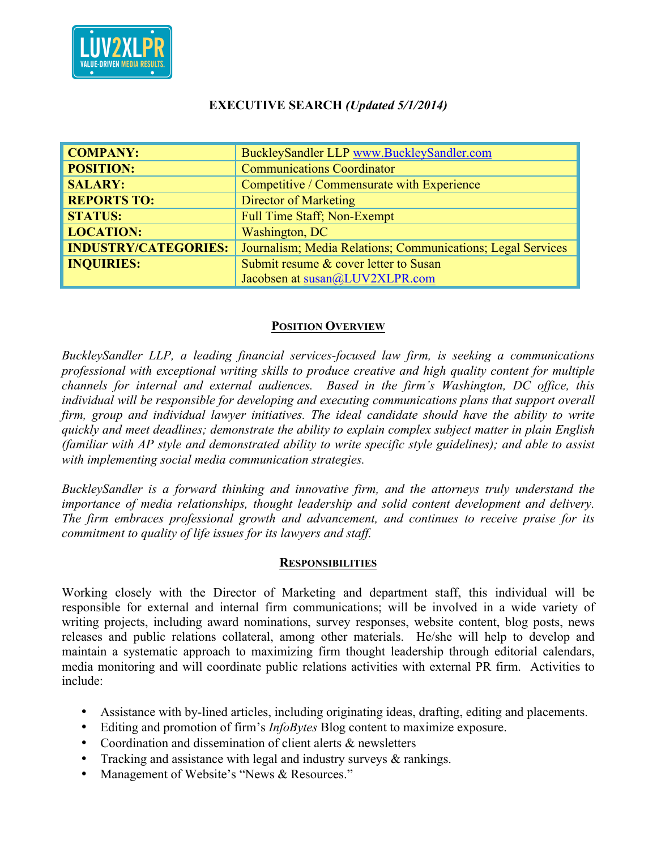

## **EXECUTIVE SEARCH** *(Updated 5/1/2014)*

| <b>COMPANY:</b>             | BuckleySandler LLP www.BuckleySandler.com                   |
|-----------------------------|-------------------------------------------------------------|
| <b>POSITION:</b>            | <b>Communications Coordinator</b>                           |
| <b>SALARY:</b>              | Competitive / Commensurate with Experience                  |
| <b>REPORTS TO:</b>          | Director of Marketing                                       |
| <b>STATUS:</b>              | <b>Full Time Staff; Non-Exempt</b>                          |
| <b>LOCATION:</b>            | Washington, DC                                              |
| <b>INDUSTRY/CATEGORIES:</b> | Journalism; Media Relations; Communications; Legal Services |
| <b>INQUIRIES:</b>           | Submit resume & cover letter to Susan                       |
|                             | Jacobsen at susan@LUV2XLPR.com                              |

## **POSITION OVERVIEW**

*BuckleySandler LLP, a leading financial services-focused law firm, is seeking a communications professional with exceptional writing skills to produce creative and high quality content for multiple channels for internal and external audiences. Based in the firm's Washington, DC office, this individual will be responsible for developing and executing communications plans that support overall firm, group and individual lawyer initiatives. The ideal candidate should have the ability to write quickly and meet deadlines; demonstrate the ability to explain complex subject matter in plain English (familiar with AP style and demonstrated ability to write specific style guidelines); and able to assist with implementing social media communication strategies.*

*BuckleySandler is a forward thinking and innovative firm, and the attorneys truly understand the importance of media relationships, thought leadership and solid content development and delivery. The firm embraces professional growth and advancement, and continues to receive praise for its commitment to quality of life issues for its lawyers and staff.*

## **RESPONSIBILITIES**

Working closely with the Director of Marketing and department staff, this individual will be responsible for external and internal firm communications; will be involved in a wide variety of writing projects, including award nominations, survey responses, website content, blog posts, news releases and public relations collateral, among other materials. He/she will help to develop and maintain a systematic approach to maximizing firm thought leadership through editorial calendars, media monitoring and will coordinate public relations activities with external PR firm. Activities to include:

- Assistance with by-lined articles, including originating ideas, drafting, editing and placements.
- Editing and promotion of firm's *InfoBytes* Blog content to maximize exposure.
- Coordination and dissemination of client alerts & newsletters
- Tracking and assistance with legal and industry surveys & rankings.
- Management of Website's "News & Resources."